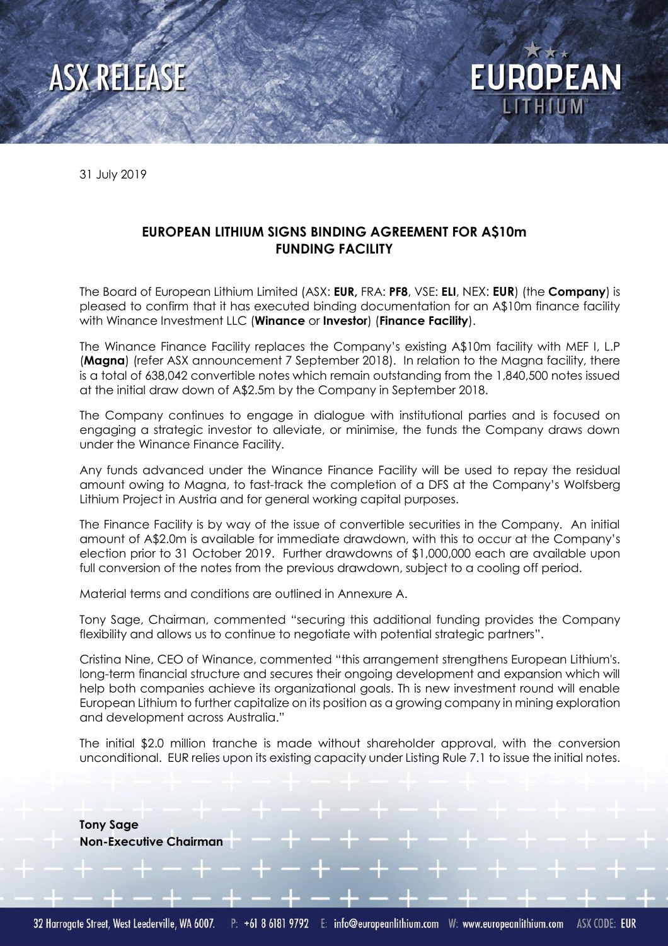

31 July 2019

## **EUROPEAN LITHIUM SIGNS BINDING AGREEMENT FOR A\$10m FUNDING FACILITY**

The Board of European Lithium Limited (ASX: **EUR,** FRA: **PF8**, VSE: **ELI**, NEX: **EUR**) (the **Company**) is pleased to confirm that it has executed binding documentation for an A\$10m finance facility with Winance Investment LLC (**Winance** or **Investor**) (**Finance Facility**).

**EUROPEAN** 

The Winance Finance Facility replaces the Company's existing A\$10m facility with MEF I, L.P (**Magna**) (refer ASX announcement 7 September 2018). In relation to the Magna facility, there is a total of 638,042 convertible notes which remain outstanding from the 1,840,500 notes issued at the initial draw down of A\$2.5m by the Company in September 2018.

The Company continues to engage in dialogue with institutional parties and is focused on engaging a strategic investor to alleviate, or minimise, the funds the Company draws down under the Winance Finance Facility.

Any funds advanced under the Winance Finance Facility will be used to repay the residual amount owing to Magna, to fast-track the completion of a DFS at the Company's Wolfsberg Lithium Project in Austria and for general working capital purposes.

The Finance Facility is by way of the issue of convertible securities in the Company. An initial amount of A\$2.0m is available for immediate drawdown, with this to occur at the Company's election prior to 31 October 2019. Further drawdowns of \$1,000,000 each are available upon full conversion of the notes from the previous drawdown, subject to a cooling off period.

Material terms and conditions are outlined in Annexure A.

Tony Sage, Chairman, commented "securing this additional funding provides the Company flexibility and allows us to continue to negotiate with potential strategic partners".

Cristina Nine, CEO of Winance, commented "this arrangement strengthens European Lithium's. long-term financial structure and secures their ongoing development and expansion which will help both companies achieve its organizational goals. Th is new investment round will enable European Lithium to further capitalize on its position as a growing company in mining exploration and development across Australia."

The initial \$2.0 million tranche is made without shareholder approval, with the conversion unconditional. EUR relies upon its existing capacity under Listing Rule 7.1 to issue the initial notes.

**Tony Sage Non-Executive Chairman**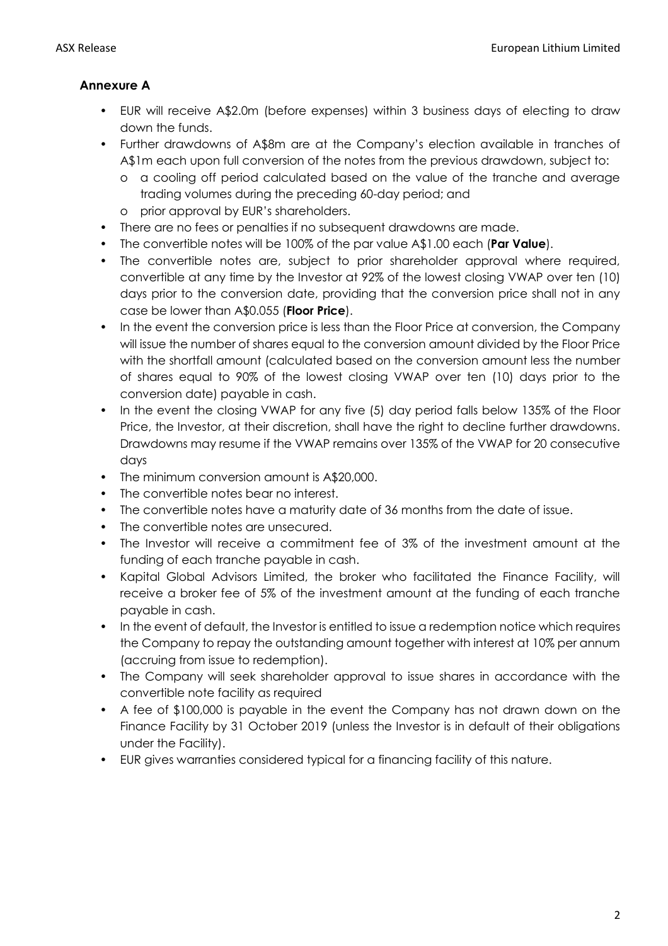## **Annexure A**

- EUR will receive A\$2.0m (before expenses) within 3 business days of electing to draw down the funds.
- Further drawdowns of A\$8m are at the Company's election available in tranches of A\$1m each upon full conversion of the notes from the previous drawdown, subject to:
	- o a cooling off period calculated based on the value of the tranche and average trading volumes during the preceding 60-day period; and
	- o prior approval by EUR's shareholders.
- There are no fees or penalties if no subsequent drawdowns are made.
- The convertible notes will be 100% of the par value A\$1.00 each (**Par Value**).
- The convertible notes are, subject to prior shareholder approval where required, convertible at any time by the Investor at 92% of the lowest closing VWAP over ten (10) days prior to the conversion date, providing that the conversion price shall not in any case be lower than A\$0.055 (**Floor Price**).
- In the event the conversion price is less than the Floor Price at conversion, the Company will issue the number of shares equal to the conversion amount divided by the Floor Price with the shortfall amount (calculated based on the conversion amount less the number of shares equal to 90% of the lowest closing VWAP over ten (10) days prior to the conversion date) payable in cash.
- In the event the closing VWAP for any five (5) day period falls below 135% of the Floor Price, the Investor, at their discretion, shall have the right to decline further drawdowns. Drawdowns may resume if the VWAP remains over 135% of the VWAP for 20 consecutive days
- The minimum conversion amount is A\$20,000.
- The convertible notes bear no interest.
- The convertible notes have a maturity date of 36 months from the date of issue.
- The convertible notes are unsecured.
- The Investor will receive a commitment fee of 3% of the investment amount at the funding of each tranche payable in cash.
- Kapital Global Advisors Limited, the broker who facilitated the Finance Facility, will receive a broker fee of 5% of the investment amount at the funding of each tranche payable in cash.
- In the event of default, the Investor is entitled to issue a redemption notice which requires the Company to repay the outstanding amount together with interest at 10% per annum (accruing from issue to redemption).
- The Company will seek shareholder approval to issue shares in accordance with the convertible note facility as required
- A fee of \$100,000 is payable in the event the Company has not drawn down on the Finance Facility by 31 October 2019 (unless the Investor is in default of their obligations under the Facility).
- EUR gives warranties considered typical for a financing facility of this nature.